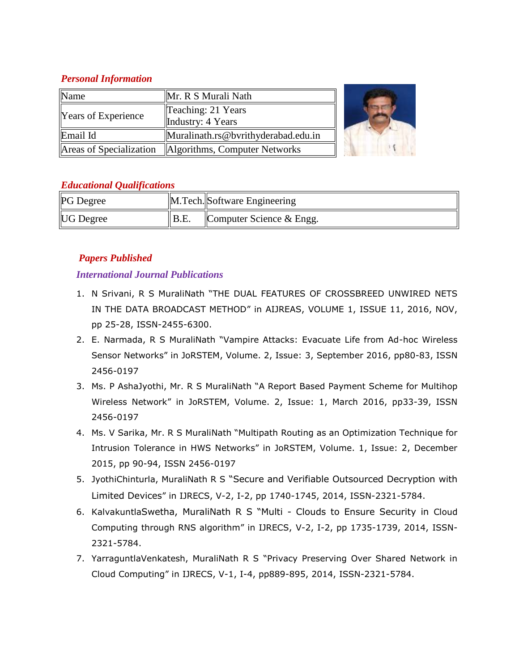# *Personal Information*

| Name                       | Mr. R S Murali Nath                 |  |
|----------------------------|-------------------------------------|--|
| <b>Years of Experience</b> | Teaching: 21 Years                  |  |
|                            | Industry: 4 Years                   |  |
| Email Id                   | Muralinath.rs@bvrithyderabad.edu.in |  |
| Areas of Specialization    | Algorithms, Computer Networks       |  |

# *Educational Qualifications*

| <b>PG</b> Degree | M.Tech. Software Engineering |
|------------------|------------------------------|
| <b>UG</b> Degree | Computer Science $\&$ Engg.  |

# *Papers Published*

# *International Journal Publications*

- 1. N Srivani, R S MuraliNath "THE DUAL FEATURES OF CROSSBREED UNWIRED NETS IN THE DATA BROADCAST METHOD" in AIJREAS, VOLUME 1, ISSUE 11, 2016, NOV, pp 25-28, ISSN-2455-6300.
- 2. E. Narmada, R S MuraliNath "Vampire Attacks: Evacuate Life from Ad-hoc Wireless Sensor Networks" in JoRSTEM, Volume. 2, Issue: 3, September 2016, pp80-83, ISSN 2456-0197
- 3. Ms. P AshaJyothi, Mr. R S MuraliNath "A Report Based Payment Scheme for Multihop Wireless Network" in JoRSTEM, Volume. 2, Issue: 1, March 2016, pp33-39, ISSN 2456-0197
- 4. Ms. V Sarika, Mr. R S MuraliNath "Multipath Routing as an Optimization Technique for Intrusion Tolerance in HWS Networks" in JoRSTEM, Volume. 1, Issue: 2, December 2015, pp 90-94, ISSN 2456-0197
- 5. JyothiChinturla, MuraliNath R S "Secure and Verifiable Outsourced Decryption with Limited Devices" in IJRECS, V-2, I-2, pp 1740-1745, 2014, ISSN-2321-5784.
- 6. KalvakuntlaSwetha, MuraliNath R S "Multi Clouds to Ensure Security in Cloud Computing through RNS algorithm" in IJRECS, V-2, I-2, pp 1735-1739, 2014, ISSN-2321-5784.
- 7. YarraguntlaVenkatesh, MuraliNath R S "Privacy Preserving Over Shared Network in Cloud Computing" in IJRECS, V-1, I-4, pp889-895, 2014, ISSN-2321-5784.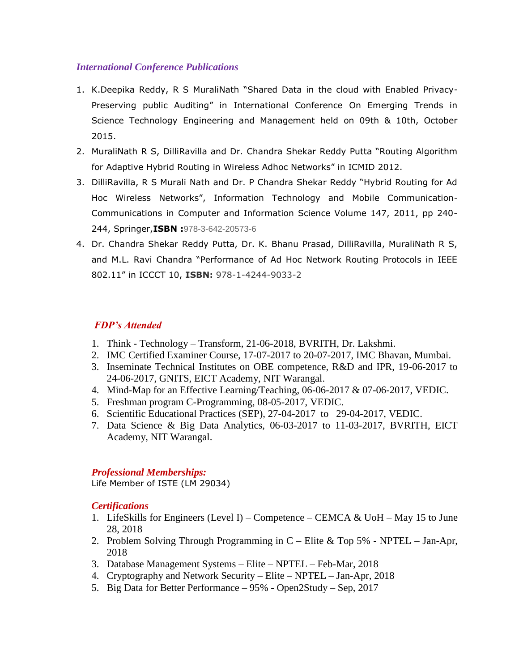#### *International Conference Publications*

- 1. K.Deepika Reddy, R S MuraliNath "Shared Data in the cloud with Enabled Privacy-Preserving public Auditing" in International Conference On Emerging Trends in Science Technology Engineering and Management held on 09th & 10th, October 2015.
- 2. MuraliNath R S, DilliRavilla and Dr. Chandra Shekar Reddy Putta "Routing Algorithm for Adaptive Hybrid Routing in Wireless Adhoc Networks" in ICMID 2012.
- 3. DilliRavilla, R S Murali Nath and Dr. P Chandra Shekar Reddy "Hybrid Routing for Ad Hoc Wireless Networks", Information Technology and Mobile Communication-Communications in Computer and Information Science Volume 147, 2011, pp 240- 244, Springer,**ISBN :**978-3-642-20573-6
- 4. Dr. Chandra Shekar Reddy Putta, Dr. K. Bhanu Prasad, DilliRavilla, MuraliNath R S, and M.L. Ravi Chandra "Performance of Ad Hoc Network Routing Protocols in IEEE 802.11" in ICCCT 10, **ISBN:** 978-1-4244-9033-2

# *FDP's Attended*

- 1. Think Technology Transform, 21-06-2018, BVRITH, Dr. Lakshmi.
- 2. IMC Certified Examiner Course, 17-07-2017 to 20-07-2017, IMC Bhavan, Mumbai.
- 3. Inseminate Technical Institutes on OBE competence, R&D and IPR, 19-06-2017 to 24-06-2017, GNITS, EICT Academy, NIT Warangal.
- 4. Mind-Map for an Effective Learning/Teaching, 06-06-2017 & 07-06-2017, VEDIC.
- 5. Freshman program C-Programming, 08-05-2017, VEDIC.
- 6. Scientific Educational Practices (SEP), 27-04-2017 to 29-04-2017, VEDIC.
- 7. Data Science & Big Data Analytics, 06-03-2017 to 11-03-2017, BVRITH, EICT Academy, NIT Warangal.

# *Professional Memberships:*

Life Member of ISTE (LM 29034)

# *Certifications*

- 1. LifeSkills for Engineers (Level I) Competence CEMCA & UoH May 15 to June 28, 2018
- 2. Problem Solving Through Programming in  $C$  Elite & Top 5% NPTEL Jan-Apr, 2018
- 3. Database Management Systems Elite NPTEL Feb-Mar, 2018
- 4. Cryptography and Network Security Elite NPTEL Jan-Apr, 2018
- 5. Big Data for Better Performance 95% Open2Study Sep, 2017